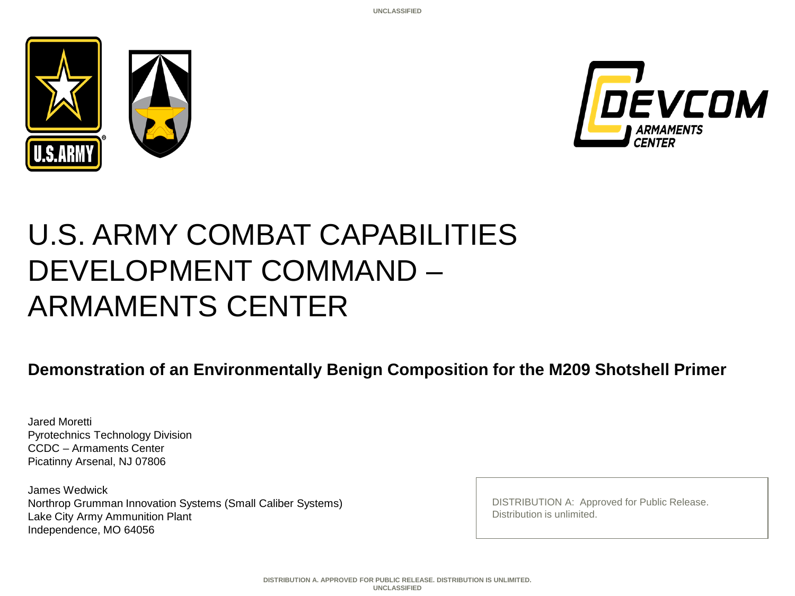



## U.S. ARMY COMBAT CAPABILITIES DEVELOPMENT COMMAND – ARMAMENTS CENTER

**Demonstration of an Environmentally Benign Composition for the M209 Shotshell Primer**

Jared Moretti Pyrotechnics Technology Division CCDC – Armaments Center Picatinny Arsenal, NJ 07806

James Wedwick Northrop Grumman Innovation Systems (Small Caliber Systems) Lake City Army Ammunition Plant Independence, MO 64056

DISTRIBUTION A: Approved for Public Release. Distribution is unlimited.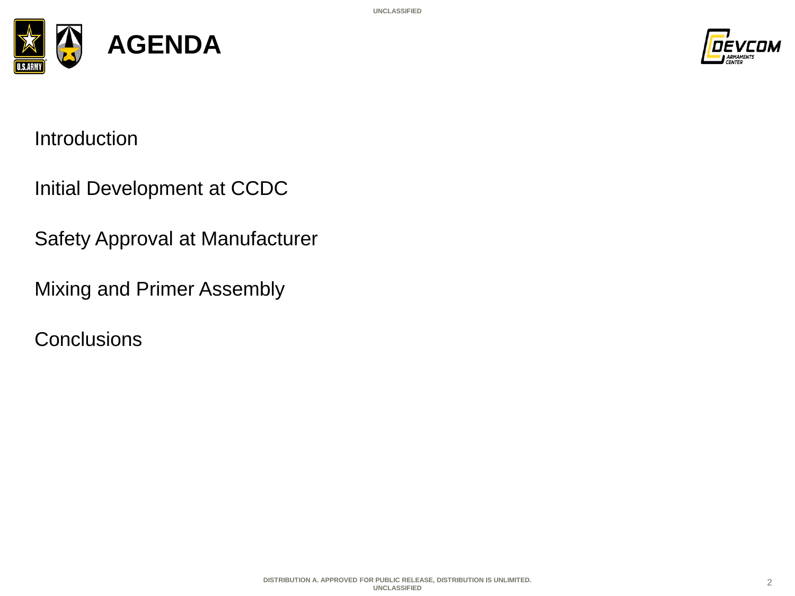



Introduction

Initial Development at CCDC

Safety Approval at Manufacturer

Mixing and Primer Assembly

**Conclusions**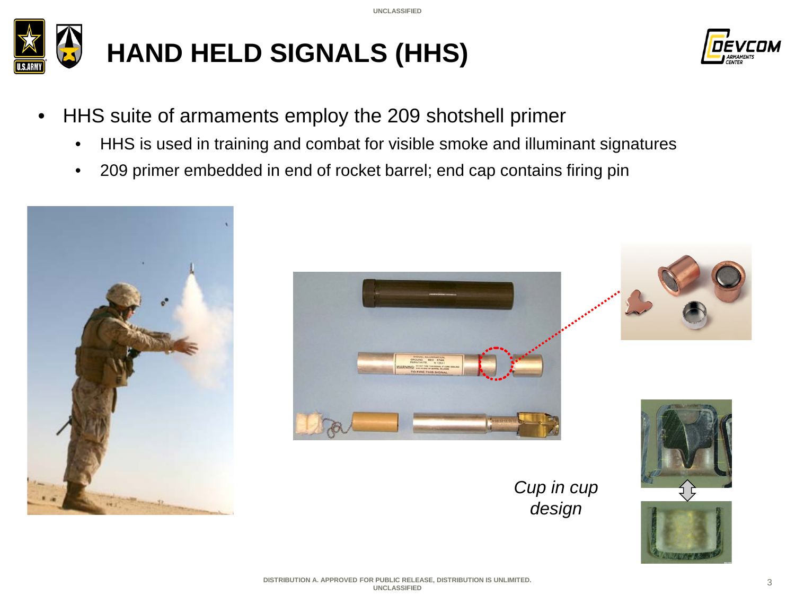



- HHS suite of armaments employ the 209 shotshell primer
	- HHS is used in training and combat for visible smoke and illuminant signatures
	- 209 primer embedded in end of rocket barrel; end cap contains firing pin











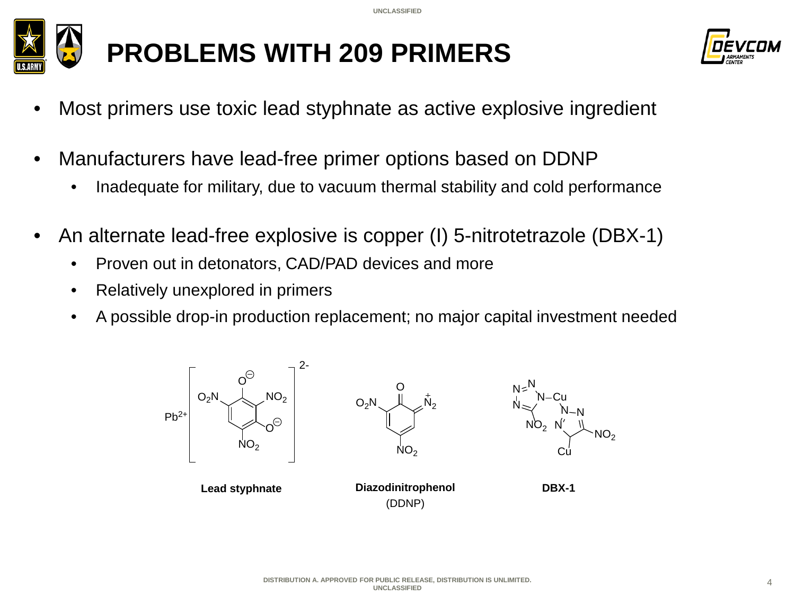**UNCLASSIFIED**





- Most primers use toxic lead styphnate as active explosive ingredient
- Manufacturers have lead-free primer options based on DDNP
	- Inadequate for military, due to vacuum thermal stability and cold performance
- An alternate lead-free explosive is copper (I) 5-nitrotetrazole (DBX-1)
	- Proven out in detonators, CAD/PAD devices and more
	- Relatively unexplored in primers
	- A possible drop-in production replacement; no major capital investment needed

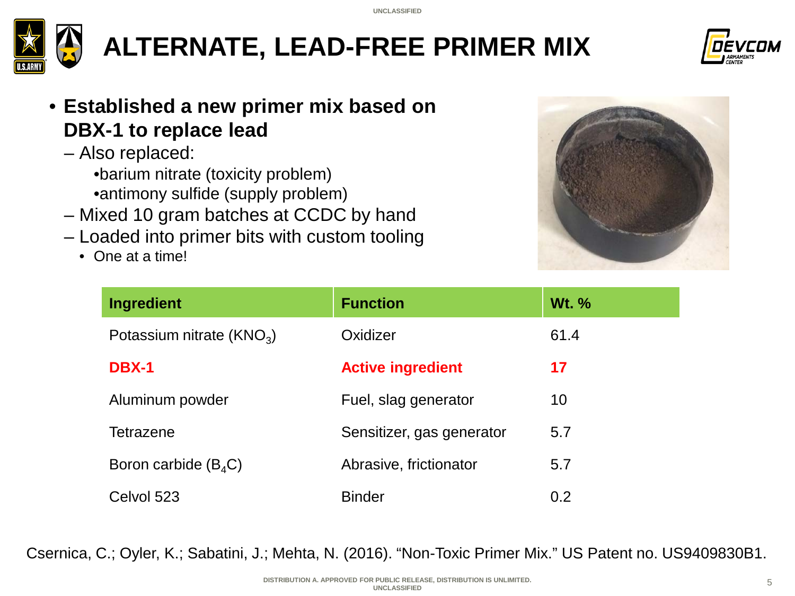

**ALTERNATE, LEAD-FREE PRIMER MIX**



- **Established a new primer mix based on DBX-1 to replace lead**
	- Also replaced:
		- •barium nitrate (toxicity problem)
		- •antimony sulfide (supply problem)
	- Mixed 10 gram batches at CCDC by hand
	- Loaded into primer bits with custom tooling
		- One at a time!



| <b>Ingredient</b>          | <b>Function</b>           | <b>Wt. %</b> |
|----------------------------|---------------------------|--------------|
| Potassium nitrate $(KNO3)$ | Oxidizer                  | 61.4         |
| <b>DBX-1</b>               | <b>Active ingredient</b>  | 17           |
| Aluminum powder            | Fuel, slag generator      | 10           |
| <b>Tetrazene</b>           | Sensitizer, gas generator | 5.7          |
| Boron carbide $(B_4C)$     | Abrasive, frictionator    | 5.7          |
| Celvol 523                 | <b>Binder</b>             | 0.2          |

Csernica, C.; Oyler, K.; Sabatini, J.; Mehta, N. (2016). "Non-Toxic Primer Mix." US Patent no. US9409830B1.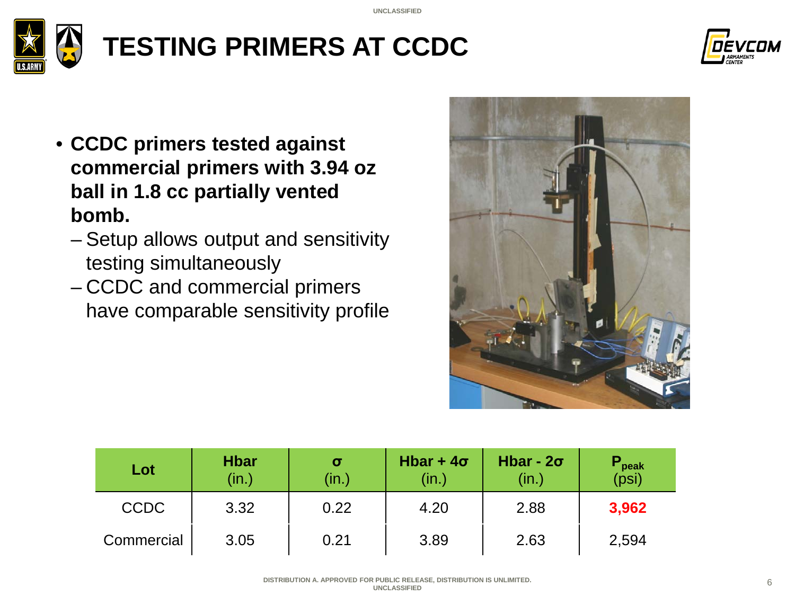



- **CCDC primers tested against commercial primers with 3.94 oz ball in 1.8 cc partially vented bomb.**
	- Setup allows output and sensitivity testing simultaneously
	- CCDC and commercial primers have comparable sensitivity profile



| Lot         | <b>Hbar</b><br>(in.) | $\sigma$<br>(in.) | Hbar + $4\sigma$<br>(in.) | Hbar - $2\sigma$<br>(in.) | peak<br>(psi) |
|-------------|----------------------|-------------------|---------------------------|---------------------------|---------------|
| <b>CCDC</b> | 3.32                 | 0.22              | 4.20                      | 2.88                      | 3,962         |
| Commercial  | 3.05                 | 0.21              | 3.89                      | 2.63                      | 2,594         |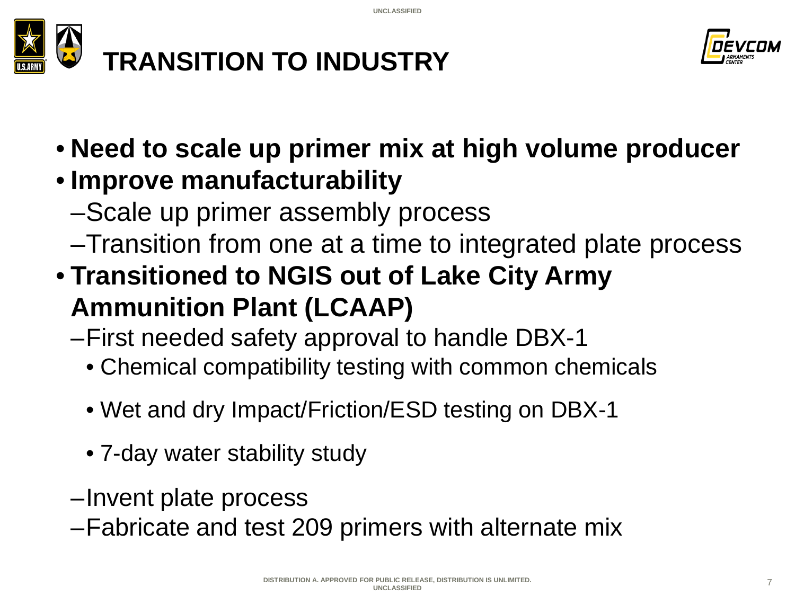



• **Need to scale up primer mix at high volume producer**

#### • **Improve manufacturability**

- –Scale up primer assembly process
- –Transition from one at a time to integrated plate process
- **Transitioned to NGIS out of Lake City Army Ammunition Plant (LCAAP)**
	- –First needed safety approval to handle DBX-1
		- Chemical compatibility testing with common chemicals
		- Wet and dry Impact/Friction/ESD testing on DBX-1
		- 7-day water stability study
	- –Invent plate process
	- –Fabricate and test 209 primers with alternate mix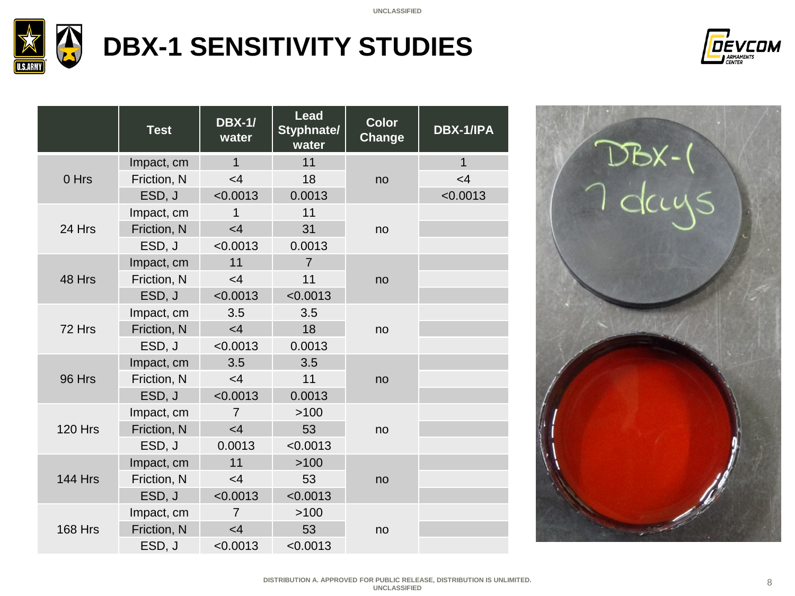

# **DBX-1 SENSITIVITY STUDIES**



|                | <b>Test</b> | <b>DBX-1/</b><br>water | <b>Lead</b><br><b>Styphnate/</b><br>water | <b>Color</b><br>Change | <b>DBX-1/IPA</b> |
|----------------|-------------|------------------------|-------------------------------------------|------------------------|------------------|
| 0 Hrs          | Impact, cm  | $\mathbf{1}$           | 11                                        |                        | $\mathbf{1}$     |
|                | Friction, N | $<$ 4                  | 18                                        | no                     | $<$ 4            |
|                | ESD, J      | < 0.0013               | 0.0013                                    |                        | < 0.0013         |
|                | Impact, cm  | 1                      | 11                                        |                        |                  |
| 24 Hrs         | Friction, N | $<$ 4                  | 31                                        | no                     |                  |
|                | ESD, J      | < 0.0013               | 0.0013                                    |                        |                  |
|                | Impact, cm  | 11                     | $\overline{7}$                            | no                     |                  |
| 48 Hrs         | Friction, N | $<$ 4                  | 11                                        |                        |                  |
|                | ESD, J      | < 0.0013               | < 0.0013                                  |                        |                  |
| 72 Hrs         | Impact, cm  | 3.5                    | 3.5                                       |                        |                  |
|                | Friction, N | <4                     | 18                                        | no                     |                  |
|                | ESD, J      | < 0.0013               | 0.0013                                    |                        |                  |
|                | Impact, cm  | 3.5                    | 3.5                                       |                        |                  |
| 96 Hrs         | Friction, N | <4                     | 11                                        | no                     |                  |
|                | ESD, J      | < 0.0013               | 0.0013                                    |                        |                  |
|                | Impact, cm  | $\overline{7}$         | >100                                      |                        |                  |
| <b>120 Hrs</b> | Friction, N | $<$ 4                  | 53                                        | no                     |                  |
|                | ESD, J      | 0.0013                 | < 0.0013                                  |                        |                  |
| <b>144 Hrs</b> | Impact, cm  | 11                     | >100                                      |                        |                  |
|                | Friction, N | $<$ 4                  | 53                                        | no                     |                  |
|                | ESD, J      | < 0.0013               | < 0.0013                                  |                        |                  |
| <b>168 Hrs</b> | Impact, cm  | $\overline{7}$         | >100                                      |                        |                  |
|                | Friction, N | $<$ 4                  | 53                                        | no                     |                  |
|                | ESD, J      | < 0.0013               | < 0.0013                                  |                        |                  |

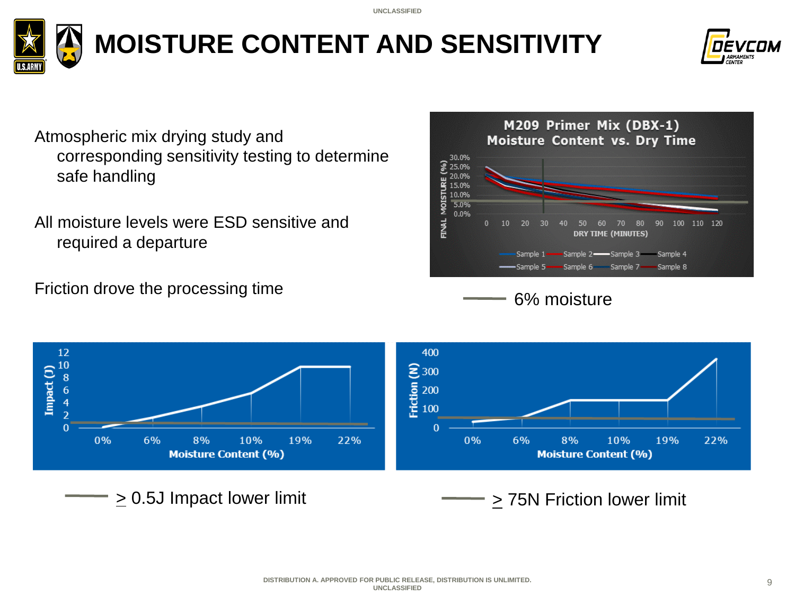

**MOISTURE CONTENT AND SENSITIVITY**



Atmospheric mix drying study and corresponding sensitivity testing to determine safe handling

All moisture levels were ESD sensitive and required a departure

Friction drove the processing time



6% moisture

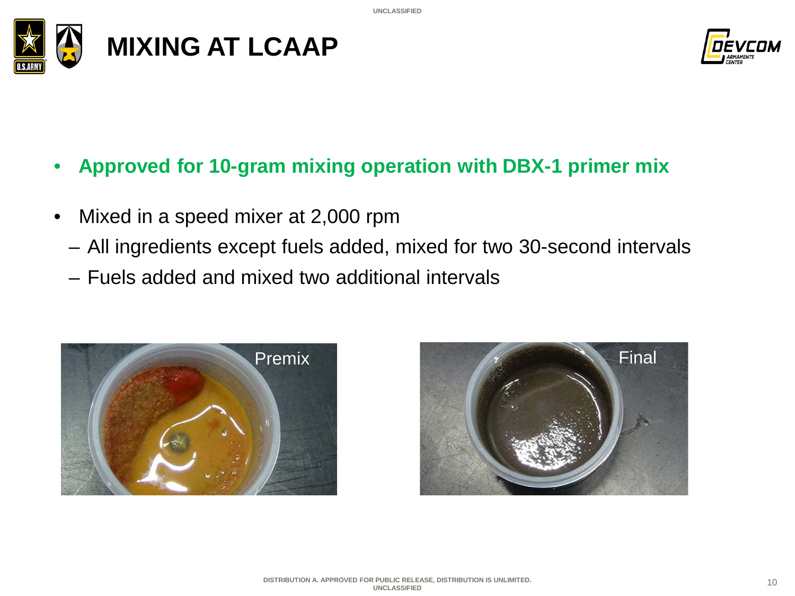



- **Approved for 10-gram mixing operation with DBX-1 primer mix**
- Mixed in a speed mixer at 2,000 rpm
	- All ingredients except fuels added, mixed for two 30-second intervals
	- Fuels added and mixed two additional intervals



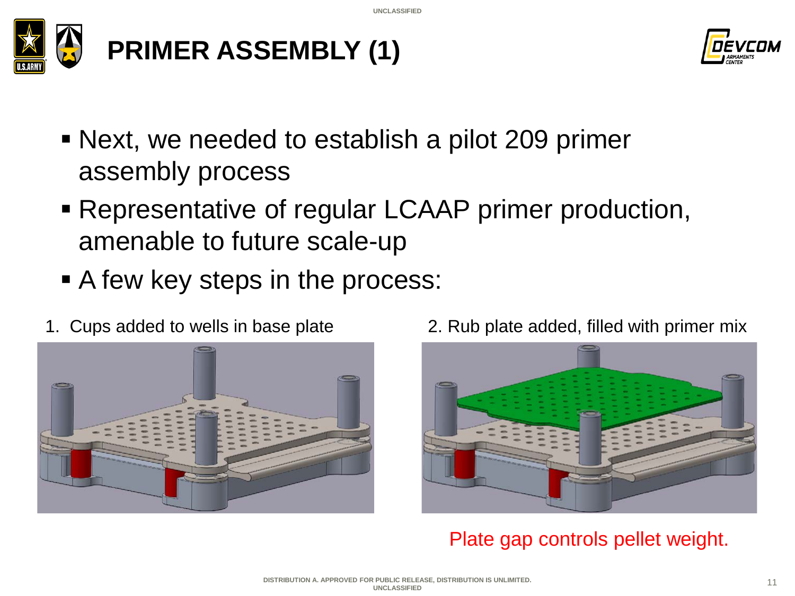



- Next, we needed to establish a pilot 209 primer assembly process
- Representative of regular LCAAP primer production, amenable to future scale-up
- A few key steps in the process:
- 



1. Cups added to wells in base plate 2. Rub plate added, filled with primer mix



Plate gap controls pellet weight.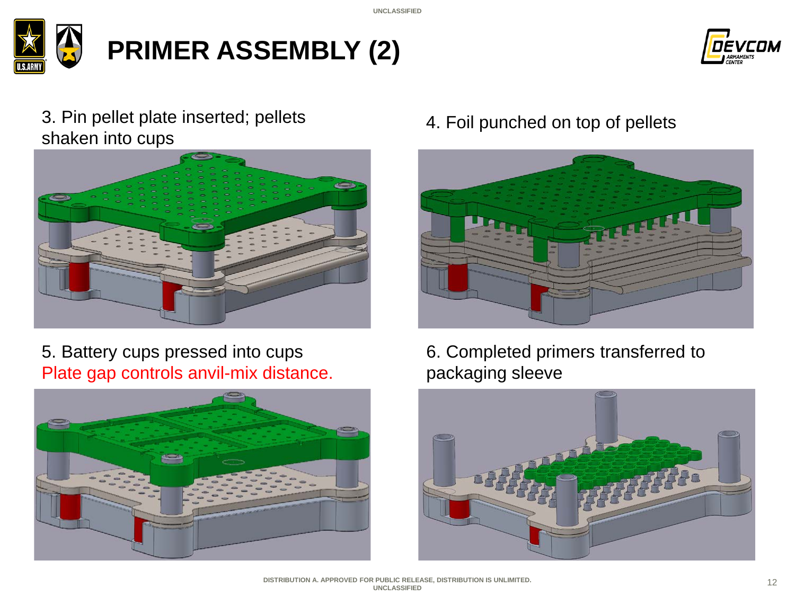



#### 3. Pin pellet plate inserted; pellets shaken into cups



5. Battery cups pressed into cups Plate gap controls anvil-mix distance.



4. Foil punched on top of pellets



6. Completed primers transferred to packaging sleeve

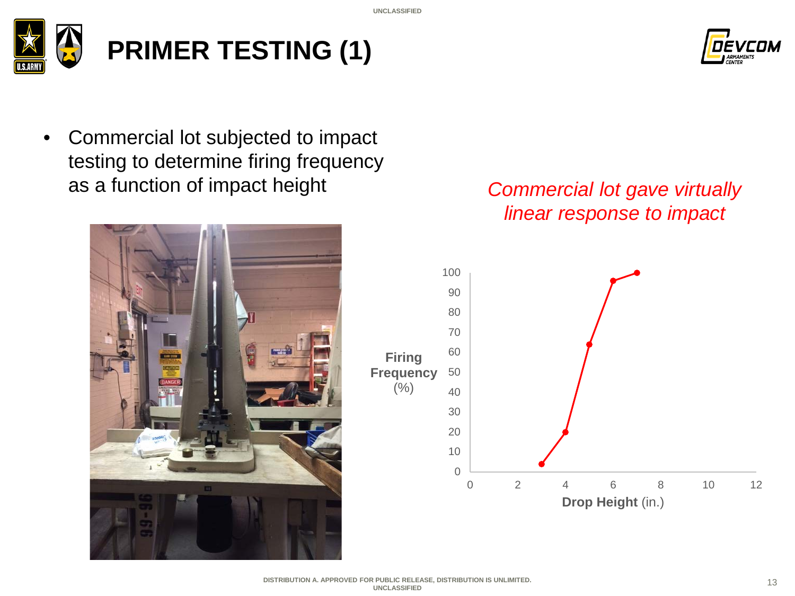**UNCLASSIFIED**



## **PRIMER TESTING (1)**



• Commercial lot subjected to impact testing to determine firing frequency as a function of impact height



#### *Commercial lot gave virtually linear response to impact*

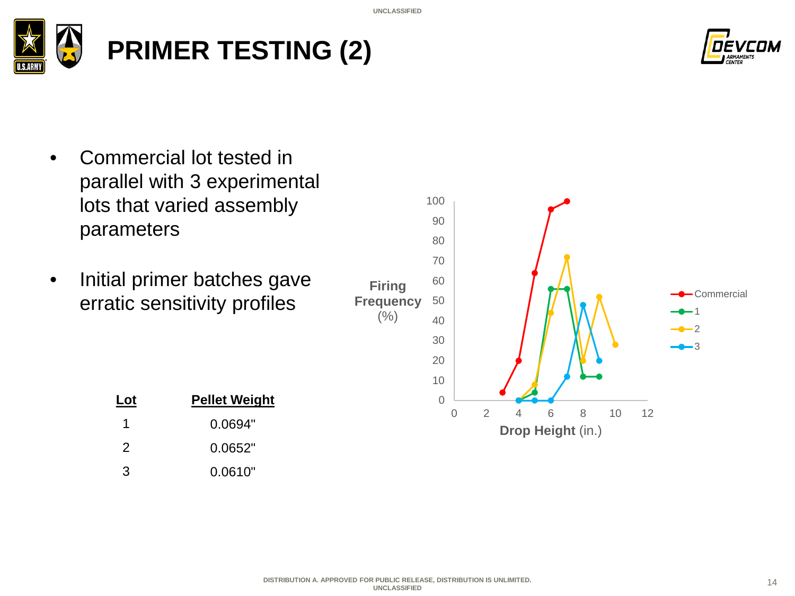

# **PRIMER TESTING (2)**



- Commercial lot tested in parallel with 3 experimental lots that varied assembly parameters
- Initial primer batches gave erratic sensitivity profiles

| Lot | <b>Pellet Weight</b> |
|-----|----------------------|
| 1   | 0.0694"              |
| 2   | 0.0652"              |
| 3   | 0.0610"              |

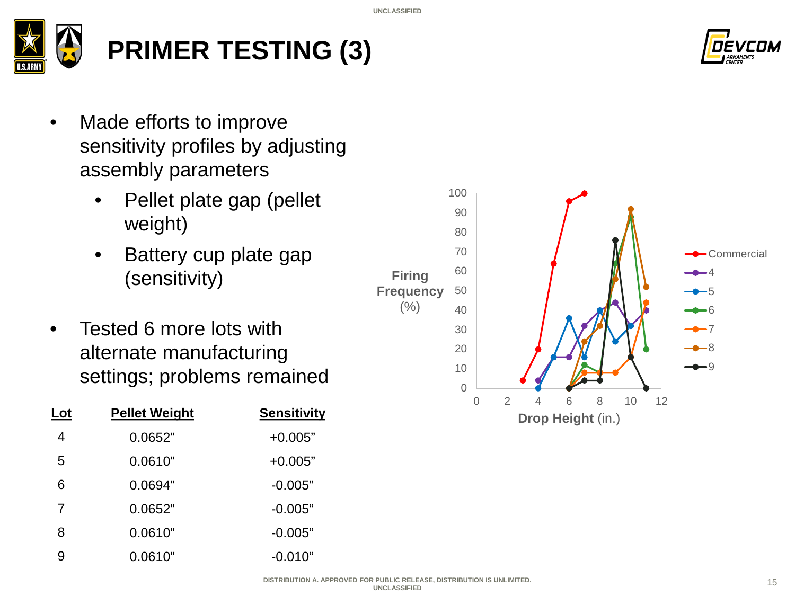

#### **PRIMER TESTING (3)**



- Made efforts to improve sensitivity profiles by adjusting assembly parameters
	- Pellet plate gap (pellet weight)
	- Battery cup plate gap (sensitivity)
- Tested 6 more lots with alternate manufacturing settings; problems remained  $10^{10}$

| Lot | <b>Pellet Weight</b> | <b>Sensitivity</b> |
|-----|----------------------|--------------------|
| 4   | 0.0652"              | $+0.005"$          |
| 5   | 0.0610"              | $+0.005"$          |
| 6   | 0.0694"              | $-0.005"$          |
| 7   | 0.0652"              | $-0.005"$          |
| 8   | 0.0610"              | $-0.005"$          |
| g   | 0.0610"              | $-0.010"$          |

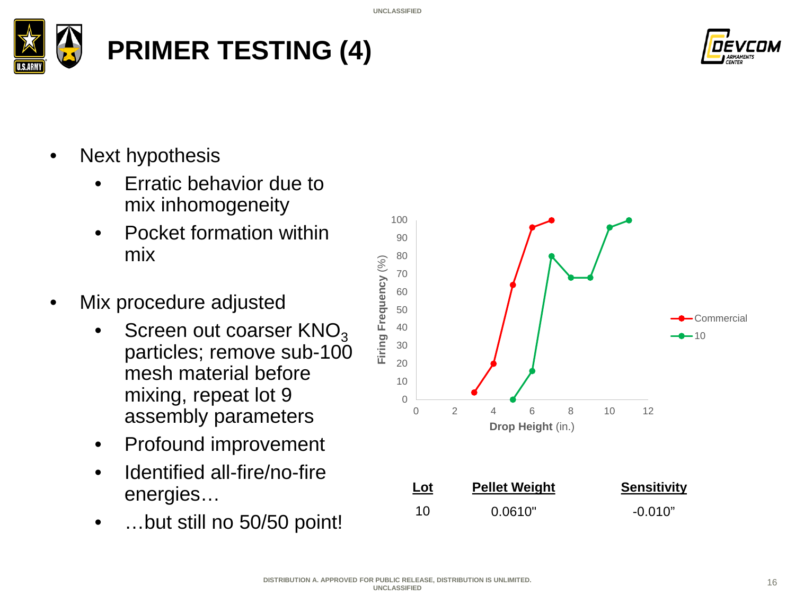



- Next hypothesis
	- Erratic behavior due to mix inhomogeneity
	- Pocket formation within mix
- Mix procedure adjusted
	- Screen out coarser  $KNO<sub>3</sub>$ particles; remove sub-100 mesh material before mixing, repeat lot 9 assembly parameters
	- Profound improvement
	- Identified all-fire/no-fire energies…
	- …but still no 50/50 point!

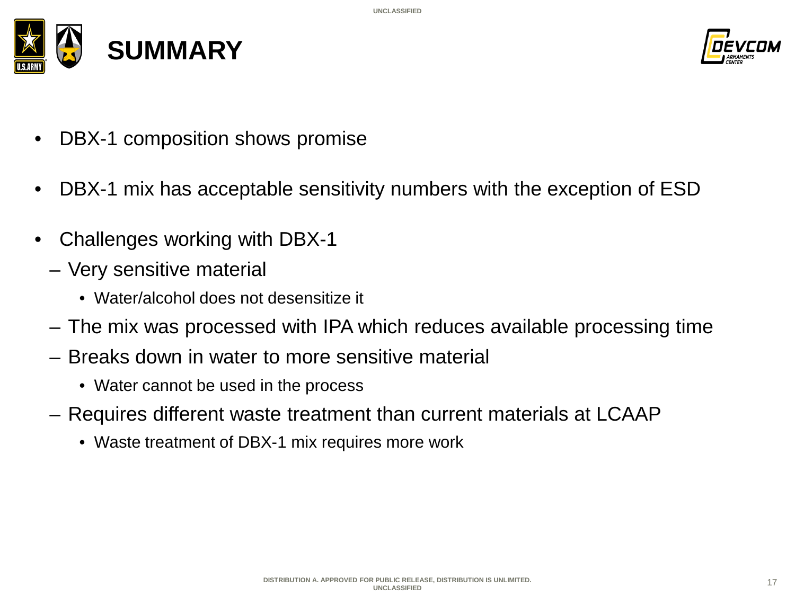



- DBX-1 composition shows promise
- DBX-1 mix has acceptable sensitivity numbers with the exception of ESD
- Challenges working with DBX-1
	- Very sensitive material
		- Water/alcohol does not desensitize it
	- The mix was processed with IPA which reduces available processing time
	- Breaks down in water to more sensitive material
		- Water cannot be used in the process
	- Requires different waste treatment than current materials at LCAAP
		- Waste treatment of DBX-1 mix requires more work